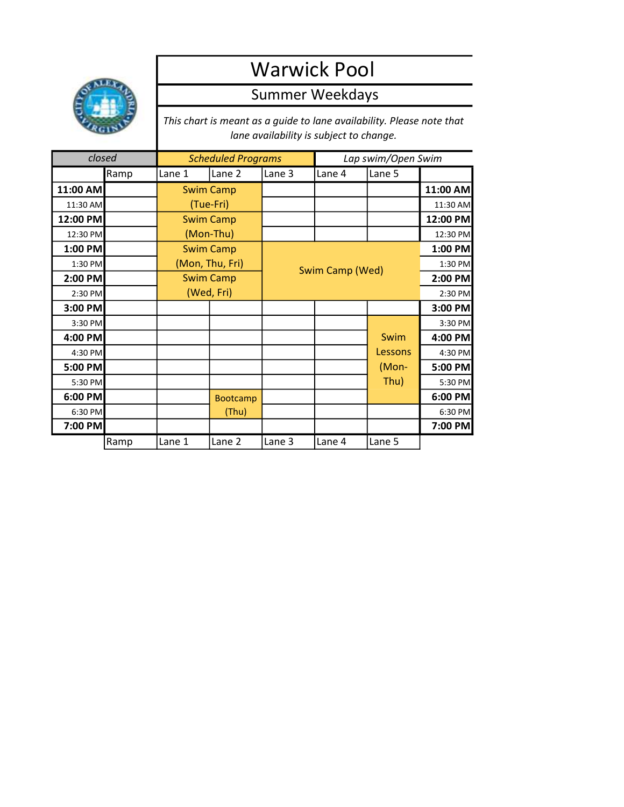

## Warwick Pool

## Summer Weekdays

This chart is meant as a guide to lane availability. Please note that lane availability is subject to change.

| closed   |      | <b>Scheduled Programs</b> |                  |        | Lap swim/Open Swim |         |          |
|----------|------|---------------------------|------------------|--------|--------------------|---------|----------|
|          | Ramp | Lane 1                    | Lane 2           | Lane 3 | Lane 4             | Lane 5  |          |
| 11:00 AM |      |                           | <b>Swim Camp</b> |        |                    |         | 11:00 AM |
| 11:30 AM |      | (Tue-Fri)                 |                  |        |                    |         | 11:30 AM |
| 12:00 PM |      | <b>Swim Camp</b>          |                  |        |                    |         | 12:00 PM |
| 12:30 PM |      | (Mon-Thu)                 |                  |        |                    |         | 12:30 PM |
| 1:00 PM  |      | <b>Swim Camp</b>          |                  |        |                    |         | 1:00 PM  |
| 1:30 PM  |      | (Mon, Thu, Fri)           |                  |        | Swim Camp (Wed)    |         |          |
| 2:00 PM  |      | <b>Swim Camp</b>          |                  |        |                    | 2:00 PM |          |
| 2:30 PM  |      | (Wed, Fri)                |                  |        |                    |         | 2:30 PM  |
| 3:00 PM  |      |                           |                  |        |                    |         | 3:00 PM  |
| 3:30 PM  |      |                           |                  |        |                    |         | 3:30 PM  |
| 4:00 PM  |      |                           |                  |        |                    | Swim    | 4:00 PM  |
| 4:30 PM  |      |                           |                  |        |                    | Lessons | 4:30 PM  |
| 5:00 PM  |      |                           |                  |        |                    | (Mon-   | 5:00 PM  |
| 5:30 PM  |      |                           |                  |        |                    | Thu)    | 5:30 PM  |
| 6:00 PM  |      |                           | <b>Bootcamp</b>  |        |                    |         | 6:00 PM  |
| 6:30 PM  |      |                           | (Thu)            |        |                    |         | 6:30 PM  |
| 7:00 PM  |      |                           |                  |        |                    |         | 7:00 PM  |
|          | Ramp | Lane 1                    | Lane 2           | Lane 3 | Lane 4             | Lane 5  |          |